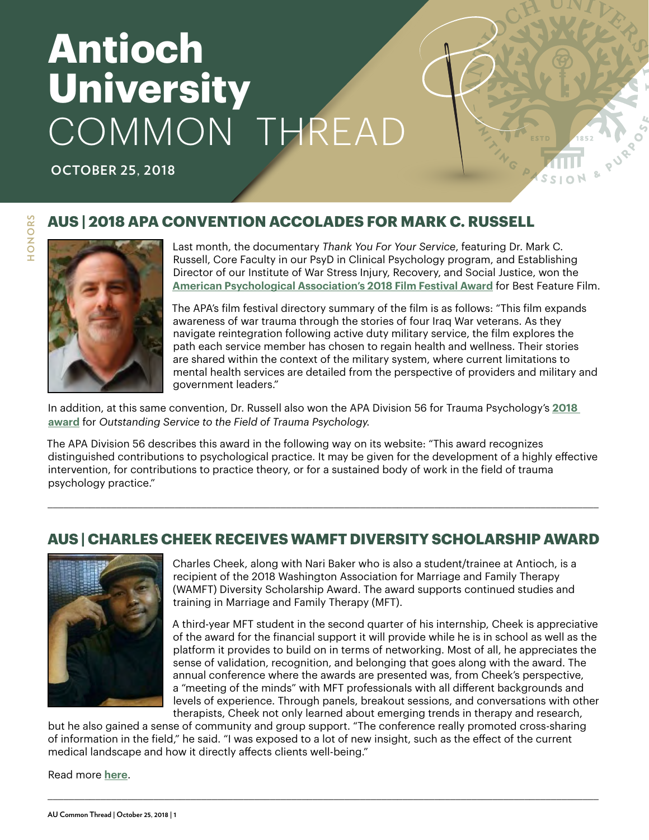# **Antioch University** COMMON THREAD

**OCTOBER 25, 2018**

#### **AUS | 2018 APA CONVENTION ACCOLADES FOR MARK C. RUSSELL**



HONORS **HONORS**

Last month, the documentary *Thank You For Your Service*, featuring Dr. Mark C. Russell, Core Faculty in our PsyD in Clinical Psychology program, and Establishing Director of our Institute of War Stress Injury, Recovery, and Social Justice, won the **[American Psychological Association's 2018 Film Festival Award](https://convention.apa.org/agenda/apa-film-festival)** for Best Feature Film.

The APA's film festival directory summary of the film is as follows: "This film expands awareness of war trauma through the stories of four Iraq War veterans. As they navigate reintegration following active duty military service, the film explores the path each service member has chosen to regain health and wellness. Their stories are shared within the context of the military system, where current limitations to mental health services are detailed from the perspective of providers and military and government leaders."

In addition, at this same convention, Dr. Russell also won the APA Division 56 for Trauma Psychology's **[2018](https://www.facebook.com/apadivision56/photos/a.278381595611501/1844014019048243/)  [award](https://www.facebook.com/apadivision56/photos/a.278381595611501/1844014019048243/)** for *Outstanding Service to the Field of Trauma Psychology.*

The APA Division 56 describes this award in the following way on its website: "This award recognizes distinguished contributions to psychological practice. It may be given for the development of a highly effective intervention, for contributions to practice theory, or for a sustained body of work in the field of trauma psychology practice."

#### **AUS | CHARLES CHEEK RECEIVES WAMFT DIVERSITY SCHOLARSHIP AWARD**

\_\_\_\_\_\_\_\_\_\_\_\_\_\_\_\_\_\_\_\_\_\_\_\_\_\_\_\_\_\_\_\_\_\_\_\_\_\_\_\_\_\_\_\_\_\_\_\_\_\_\_\_\_\_\_\_\_\_\_\_\_\_\_\_\_\_\_\_\_\_\_\_\_\_\_\_\_\_\_\_\_\_\_\_\_\_\_\_\_\_\_\_\_\_\_\_\_\_\_\_\_\_\_\_



Charles Cheek, along with Nari Baker who is also a student/trainee at Antioch, is a recipient of the 2018 Washington Association for Marriage and Family Therapy (WAMFT) Diversity Scholarship Award. The award supports continued studies and training in Marriage and Family Therapy (MFT).

A third-year MFT student in the second quarter of his internship, Cheek is appreciative of the award for the financial support it will provide while he is in school as well as the platform it provides to build on in terms of networking. Most of all, he appreciates the sense of validation, recognition, and belonging that goes along with the award. The annual conference where the awards are presented was, from Cheek's perspective, a "meeting of the minds" with MFT professionals with all different backgrounds and levels of experience. Through panels, breakout sessions, and conversations with other therapists, Cheek not only learned about emerging trends in therapy and research,

but he also gained a sense of community and group support. "The conference really promoted cross-sharing of information in the field," he said. "I was exposed to a lot of new insight, such as the effect of the current medical landscape and how it directly affects clients well-being."

\_\_\_\_\_\_\_\_\_\_\_\_\_\_\_\_\_\_\_\_\_\_\_\_\_\_\_\_\_\_\_\_\_\_\_\_\_\_\_\_\_\_\_\_\_\_\_\_\_\_\_\_\_\_\_\_\_\_\_\_\_\_\_\_\_\_\_\_\_\_\_\_\_\_\_\_\_\_\_\_\_\_\_\_\_\_\_\_\_\_\_\_\_\_\_\_\_\_\_\_\_\_\_\_

Read more **[here](https://www.antioch.edu/seattle/2018/10/08/charles-cheek-receives-wamft-diversity-scholarship-award/)**.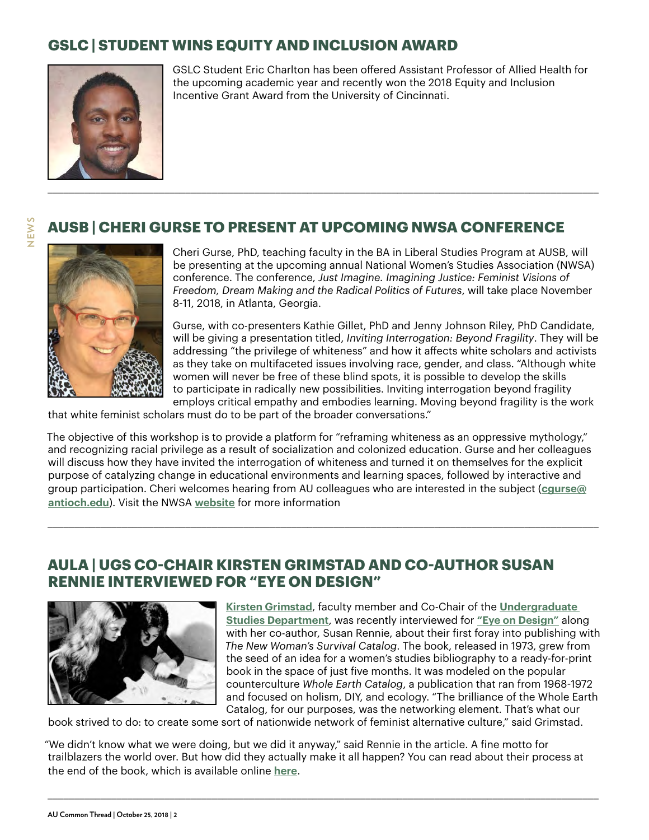# **GSLC | STUDENT WINS EQUITY AND INCLUSION AWARD**



GSLC Student Eric Charlton has been offered Assistant Professor of Allied Health for the upcoming academic year and recently won the 2018 Equity and Inclusion Incentive Grant Award from the University of Cincinnati.

#### **AUSB | CHERI GURSE TO PRESENT AT UPCOMING NWSA CONFERENCE**



**NEWS**

Cheri Gurse, PhD, teaching faculty in the BA in Liberal Studies Program at AUSB, will be presenting at the upcoming annual National Women's Studies Association (NWSA) conference. The conference, *Just Imagine. Imagining Justice: Feminist Visions of Freedom, Dream Making and the Radical Politics of Futures*, will take place November 8-11, 2018, in Atlanta, Georgia.

Gurse, with co-presenters Kathie Gillet, PhD and Jenny Johnson Riley, PhD Candidate, will be giving a presentation titled, *Inviting Interrogation: Beyond Fragility*. They will be addressing "the privilege of whiteness" and how it affects white scholars and activists as they take on multifaceted issues involving race, gender, and class. "Although white women will never be free of these blind spots, it is possible to develop the skills to participate in radically new possibilities. Inviting interrogation beyond fragility employs critical empathy and embodies learning. Moving beyond fragility is the work

that white feminist scholars must do to be part of the broader conversations."

The objective of this workshop is to provide a platform for "reframing whiteness as an oppressive mythology," and recognizing racial privilege as a result of socialization and colonized education. Gurse and her colleagues will discuss how they have invited the interrogation of whiteness and turned it on themselves for the explicit purpose of catalyzing change in educational environments and learning spaces, followed by interactive and group participation. Cheri welcomes hearing from AU colleagues who are interested in the subject (**[cgurse@](mailto: cgurse@antioch.edu) [antioch.edu](mailto: cgurse@antioch.edu)**). Visit the NWSA **[website](https://www.nwsa.org/)** for more information

\_\_\_\_\_\_\_\_\_\_\_\_\_\_\_\_\_\_\_\_\_\_\_\_\_\_\_\_\_\_\_\_\_\_\_\_\_\_\_\_\_\_\_\_\_\_\_\_\_\_\_\_\_\_\_\_\_\_\_\_\_\_\_\_\_\_\_\_\_\_\_\_\_\_\_\_\_\_\_\_\_\_\_\_\_\_\_\_\_\_\_\_\_\_\_\_\_\_\_\_\_\_\_\_

#### **AULA | UGS CO-CHAIR KIRSTEN GRIMSTAD AND CO-AUTHOR SUSAN RENNIE INTERVIEWED FOR "EYE ON DESIGN"**



**Kirsten Grimstad**, faculty member and Co-Chair of the **[Undergraduate](https://www.antioch.edu/los-angeles/degrees-programs/undergraduate-studies/)  [Studies Department](https://www.antioch.edu/los-angeles/degrees-programs/undergraduate-studies/)**, was recently interviewed for **["Eye on Design"](https://eyeondesign.aiga.org/behind-the-making-of-the-feminist-whole-earth-catalog/)** along with her co-author, Susan Rennie, about their first foray into publishing with *[The New Woman's](https://www.antioch.edu/los-angeles/faculty/kirsten-grimstad-phd/) Survival Catalog*. The book, released in 1973, grew from the seed of an idea for a women's studies bibliography to a ready-for-print book in the space of just five months. It was modeled on the popular counterculture *Whole Earth Catalog*, a publication that ran from 1968-1972 and focused on holism, DIY, and ecology. "The brilliance of the Whole Earth Catalog, for our purposes, was the networking element. That's what our

book strived to do: to create some sort of nationwide network of feminist alternative culture," said Grimstad.

"We didn't know what we were doing, but we did it anyway," said Rennie in the article. A fine motto for trailblazers the world over. But how did they actually make it all happen? You can read about their process at the end of the book, which is available online **[here](http://www.letsremake.info/PDFs/New_Womans_Survival_Catalog_3.pdf)**.

\_\_\_\_\_\_\_\_\_\_\_\_\_\_\_\_\_\_\_\_\_\_\_\_\_\_\_\_\_\_\_\_\_\_\_\_\_\_\_\_\_\_\_\_\_\_\_\_\_\_\_\_\_\_\_\_\_\_\_\_\_\_\_\_\_\_\_\_\_\_\_\_\_\_\_\_\_\_\_\_\_\_\_\_\_\_\_\_\_\_\_\_\_\_\_\_\_\_\_\_\_\_\_\_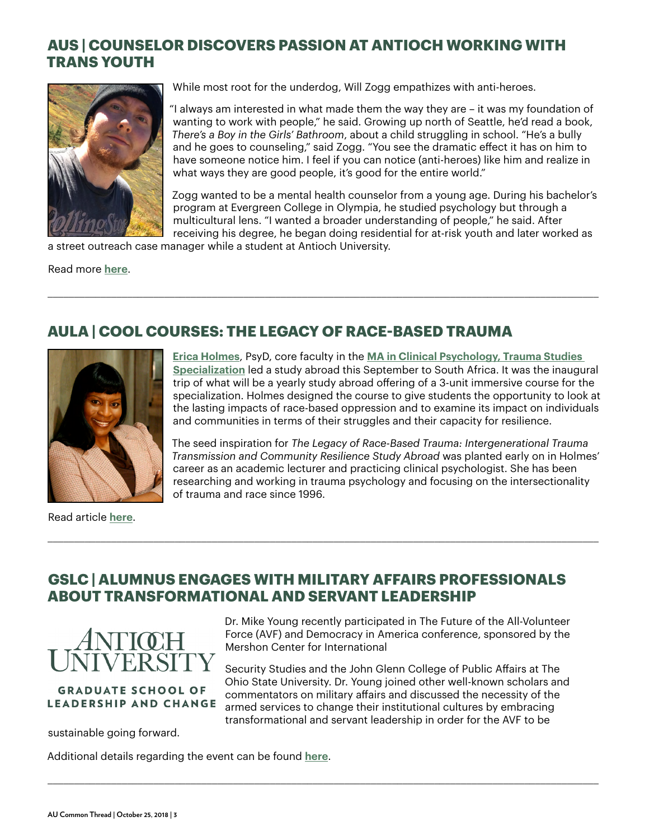#### **AUS | COUNSELOR DISCOVERS PASSION AT ANTIOCH WORKING WITH TRANS YOUTH**



While most root for the underdog, Will Zogg empathizes with anti-heroes.

"I always am interested in what made them the way they are – it was my foundation of wanting to work with people," he said. Growing up north of Seattle, he'd read a book, *There's a Boy in the Girls' Bathroom*, about a child struggling in school. "He's a bully and he goes to counseling," said Zogg. "You see the dramatic effect it has on him to have someone notice him. I feel if you can notice (anti-heroes) like him and realize in what ways they are good people, it's good for the entire world."

Zogg wanted to be a mental health counselor from a young age. During his bachelor's program at Evergreen College in Olympia, he studied psychology but through a multicultural lens. "I wanted a broader understanding of people," he said. After receiving his degree, he began doing residential for at-risk youth and later worked as

a street outreach case manager while a student at Antioch University.

Read more **[here](https://www.antioch.edu/seattle/stories/counselor-discovers-passion-at-antioch-working-with-trans-youth/)**.

## **AULA | COOL COURSES: THE LEGACY OF RACE-BASED TRAUMA**

\_\_\_\_\_\_\_\_\_\_\_\_\_\_\_\_\_\_\_\_\_\_\_\_\_\_\_\_\_\_\_\_\_\_\_\_\_\_\_\_\_\_\_\_\_\_\_\_\_\_\_\_\_\_\_\_\_\_\_\_\_\_\_\_\_\_\_\_\_\_\_\_\_\_\_\_\_\_\_\_\_\_\_\_\_\_\_\_\_\_\_\_\_\_\_\_\_\_\_\_\_\_\_\_



Read article **[here](https://www.antioch.edu/los-angeles/2018/10/16/cool-courses-the-legacy-of-race-based-trauma-intergenerational-trauma-transmission-and-community-resilience-study-abroad-with-erica-holmes/)**.

**[Erica Holmes](https://www.antioch.edu/los-angeles/faculty/erica-holmes-psyd/)**, PsyD, core faculty in the **MA in Clinical Psychology, Trauma Studies [Specialization](https://www.antioch.edu/los-angeles/degrees-programs/psychology-degree/clinical-psychology-masters-programs/psychological-trauma-studies/)** led a study abroad this [September to South Africa. It was the inaugu](https://www.antioch.edu/los-angeles/degrees-programs/psychology-degree/clinical-psychology-masters-programs/psychological-trauma-studies/)ral trip of what will be a yearly study abroad offering of a 3-unit immersive course for the specialization. Holmes designed the course to give students the opportunity to look at the lasting impacts of race-based oppression and to examine its impact on individuals and communities in terms of their struggles and their capacity for resilience.

The seed inspiration for *The Legacy of Race-Based Trauma: Intergenerational Trauma Transmission and Community Resilience Study Abroad* was planted early on in Holmes' career as an academic lecturer and practicing clinical psychologist. She has been researching and working in trauma psychology and focusing on the intersectionality of trauma and race since 1996.

#### **GSLC | ALUMNUS ENGAGES WITH MILITARY AFFAIRS PROFESSIONALS ABOUT TRANSFORMATIONAL AND SERVANT LEADERSHIP**

\_\_\_\_\_\_\_\_\_\_\_\_\_\_\_\_\_\_\_\_\_\_\_\_\_\_\_\_\_\_\_\_\_\_\_\_\_\_\_\_\_\_\_\_\_\_\_\_\_\_\_\_\_\_\_\_\_\_\_\_\_\_\_\_\_\_\_\_\_\_\_\_\_\_\_\_\_\_\_\_\_\_\_\_\_\_\_\_\_\_\_\_\_\_\_\_\_\_\_\_\_\_\_\_

\_\_\_\_\_\_\_\_\_\_\_\_\_\_\_\_\_\_\_\_\_\_\_\_\_\_\_\_\_\_\_\_\_\_\_\_\_\_\_\_\_\_\_\_\_\_\_\_\_\_\_\_\_\_\_\_\_\_\_\_\_\_\_\_\_\_\_\_\_\_\_\_\_\_\_\_\_\_\_\_\_\_\_\_\_\_\_\_\_\_\_\_\_\_\_\_\_\_\_\_\_\_\_\_



#### **GRADUATE SCHOOL OF LEADERSHIP AND CHANGE**

sustainable going forward.

Additional details regarding the event can be found **[here](http://www.avfforum.org/home.html)**.

Dr. Mike Young recently participated in The Future of the All-Volunteer Force (AVF) and Democracy in America conference, sponsored by the Mershon Center for International

Security Studies and the John Glenn College of Public Affairs at The Ohio State University. Dr. Young joined other well-known scholars and commentators on military affairs and discussed the necessity of the armed services to change their institutional cultures by embracing transformational and servant leadership in order for the AVF to be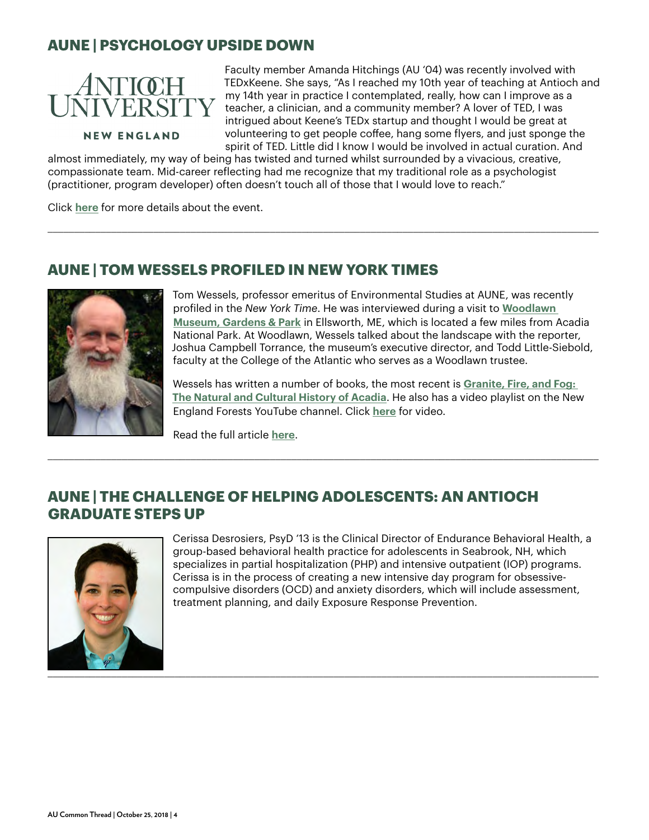### **AUNE | PSYCHOLOGY UPSIDE DOWN**



Faculty member Amanda Hitchings (AU '04) was recently involved with TEDxKeene. She says, "As I reached my 10th year of teaching at Antioch and my 14th year in practice I contemplated, really, how can I improve as a teacher, a clinician, and a community member? A lover of TED, I was intrigued about Keene's TEDx startup and thought I would be great at volunteering to get people coffee, hang some flyers, and just sponge the spirit of TED. Little did I know I would be involved in actual curation. And

**NEW ENGLAND** 

almost immediately, my way of being has twisted and turned whilst surrounded by a vivacious, creative, compassionate team. Mid-career reflecting had me recognize that my traditional role as a psychologist (practitioner, program developer) often doesn't touch all of those that I would love to reach."

\_\_\_\_\_\_\_\_\_\_\_\_\_\_\_\_\_\_\_\_\_\_\_\_\_\_\_\_\_\_\_\_\_\_\_\_\_\_\_\_\_\_\_\_\_\_\_\_\_\_\_\_\_\_\_\_\_\_\_\_\_\_\_\_\_\_\_\_\_\_\_\_\_\_\_\_\_\_\_\_\_\_\_\_\_\_\_\_\_\_\_\_\_\_\_\_\_\_\_\_\_\_\_\_

Click **[here](https://www.antioch.edu/new-england/2018/10/01/psychology-upside-down/)** for more details about the event.

#### **AUNE | TOM WESSELS PROFILED IN NEW YORK TIMES**



Tom Wessels, professor emeritus of Environmental Studies at AUNE, was recently profiled in the *New York Time*. He was interviewed during a visit to **[Woodlawn](https://woodlawnmuseum.com/)  [Museum, Gardens & Park](https://woodlawnmuseum.com/)** in Ellsworth, ME, which is located a few miles from Acadia National Park. At Woodlawn, Wessels talked about the landscape with the reporter, Joshua Campbell Torrance, the museum's executive director, and Todd Little-Siebold, faculty at the College of the Atlantic who serves as a Woodlawn trustee.

Wessels has written a number of books, the most recent is **[Granite, Fire, and Fog:](https://www.antioch.edu/new-england/2017/09/08/wessels-book-granite-fire-fog/)  [The Natural and Cultural History of Acadia](https://www.antioch.edu/new-england/2017/09/08/wessels-book-granite-fire-fog/)**. He also has a video playlist on the New England Forests YouTube channel. Click **[here](https://www.youtube.com/playlist?list=PL-cKOnYB94s4rDvYLB-AbYdSYVzycHe12)** for video.

Read the full article **[here](https://www.nytimes.com/2018/10/04/style/forensic-forest-ecologist.html)**.

#### **AUNE | THE CHALLENGE OF HELPING ADOLESCENTS: AN ANTIOCH GRADUATE STEPS UP**

\_\_\_\_\_\_\_\_\_\_\_\_\_\_\_\_\_\_\_\_\_\_\_\_\_\_\_\_\_\_\_\_\_\_\_\_\_\_\_\_\_\_\_\_\_\_\_\_\_\_\_\_\_\_\_\_\_\_\_\_\_\_\_\_\_\_\_\_\_\_\_\_\_\_\_\_\_\_\_\_\_\_\_\_\_\_\_\_\_\_\_\_\_\_\_\_\_\_\_\_\_\_\_\_



Cerissa Desrosiers, PsyD '13 is the Clinical Director of Endurance Behavioral Health, a group-based behavioral health practice for adolescents in Seabrook, NH, which specializes in partial hospitalization (PHP) and intensive outpatient (IOP) programs. Cerissa is in the process of creating a new intensive day program for obsessivecompulsive disorders (OCD) and anxiety disorders, which will include assessment, treatment planning, and daily Exposure Response Prevention.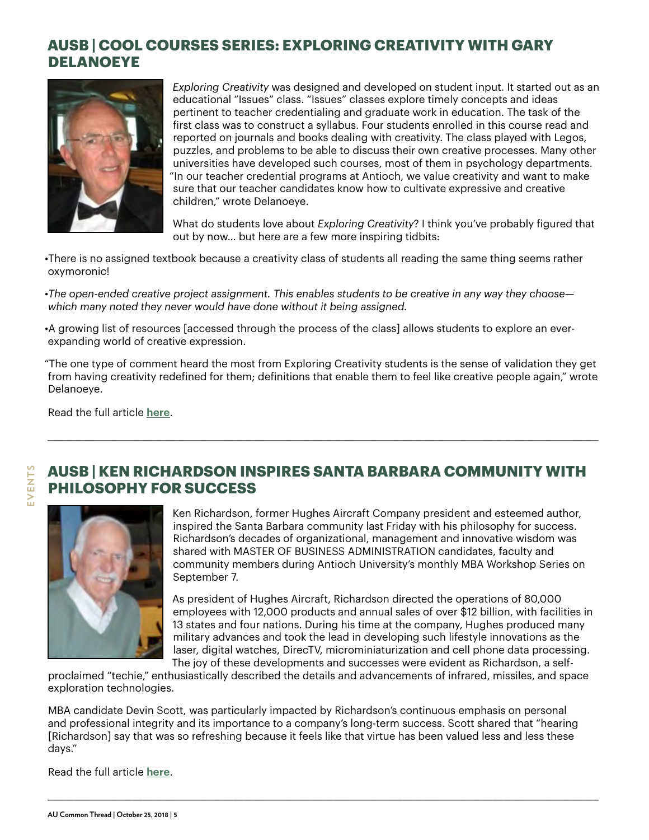### **AUSB | COOL COURSES SERIES: EXPLORING CREATIVITY WITH GARY DELANOEYE**



*Exploring Creativity* was designed and developed on student input. It started out as an educational "Issues" class. "Issues" classes explore timely concepts and ideas pertinent to teacher credentialing and graduate work in education. The task of the first class was to construct a syllabus. Four students enrolled in this course read and reported on journals and books dealing with creativity. The class played with Legos, puzzles, and problems to be able to discuss their own creative processes. Many other universities have developed such courses, most of them in psychology departments. "In our teacher credential programs at Antioch, we value creativity and want to make sure that our teacher candidates know how to cultivate expressive and creative children," wrote Delanoeye.

What do students love about *Exploring Creativity*? I think you've probably figured that out by now… but here are a few more inspiring tidbits:

•There is no assigned textbook because a creativity class of students all reading the same thing seems rather oxymoronic!

•*The open-ended creative project assignment. This enables students to be creative in any way they choose which many noted they never would have done without it being assigned.*

•A growing list of resources [accessed through the process of the class] allows students to explore an everexpanding world of creative expression.

"The one type of comment heard the most from Exploring Creativity students is the sense of validation they get from having creativity redefined for them; definitions that enable them to feel like creative people again," wrote Delanoeye.

\_\_\_\_\_\_\_\_\_\_\_\_\_\_\_\_\_\_\_\_\_\_\_\_\_\_\_\_\_\_\_\_\_\_\_\_\_\_\_\_\_\_\_\_\_\_\_\_\_\_\_\_\_\_\_\_\_\_\_\_\_\_\_\_\_\_\_\_\_\_\_\_\_\_\_\_\_\_\_\_\_\_\_\_\_\_\_\_\_\_\_\_\_\_\_\_\_\_\_\_\_\_\_\_

Read the full article **[here](https://www.antioch.edu/santa-barbara/2018/10/02/cool-courses-series-exploring-creativity-with-gary-delanoeye/)**.

#### **AUSB | KEN RICHARDSON INSPIRES SANTA BARBARA COMMUNITY WITH PHILOSOPHY FOR SUCCESS**



Ken Richardson, former Hughes Aircraft Company president and esteemed author, inspired the Santa Barbara community last Friday with his philosophy for success. Richardson's decades of organizational, management and innovative wisdom was shared with MASTER OF BUSINESS ADMINISTRATION candidates, faculty and community members during Antioch University's monthly MBA Workshop Series on September 7.

As president of Hughes Aircraft, Richardson directed the operations of 80,000 employees with 12,000 products and annual sales of over \$12 billion, with facilities in 13 states and four nations. During his time at the company, Hughes produced many military advances and took the lead in developing such lifestyle innovations as the laser, digital watches, DirecTV, microminiaturization and cell phone data processing. The joy of these developments and successes were evident as Richardson, a self-

proclaimed "techie," enthusiastically described the details and advancements of infrared, missiles, and space exploration technologies.

MBA candidate Devin Scott, was particularly impacted by Richardson's continuous emphasis on personal and professional integrity and its importance to a company's long-term success. Scott shared that "hearing [Richardson] say that was so refreshing because it feels like that virtue has been valued less and less these days."

\_\_\_\_\_\_\_\_\_\_\_\_\_\_\_\_\_\_\_\_\_\_\_\_\_\_\_\_\_\_\_\_\_\_\_\_\_\_\_\_\_\_\_\_\_\_\_\_\_\_\_\_\_\_\_\_\_\_\_\_\_\_\_\_\_\_\_\_\_\_\_\_\_\_\_\_\_\_\_\_\_\_\_\_\_\_\_\_\_\_\_\_\_\_\_\_\_\_\_\_\_\_\_\_

Read the full article **[here](https://www.antioch.edu/santa-barbara/2018/10/14/ken-richardson-inspires-santa-barbara-community-with-philosophy-for-success/)**.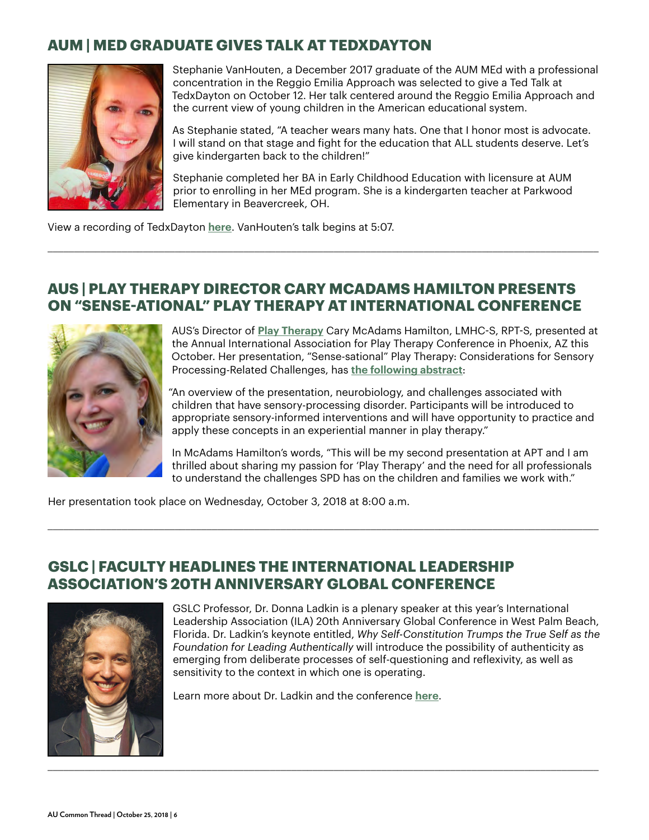### **AUM | MED GRADUATE GIVES TALK AT TEDXDAYTON**



Stephanie VanHouten, a December 2017 graduate of the AUM MEd with a professional concentration in the Reggio Emilia Approach was selected to give a Ted Talk at TedxDayton on October 12. Her talk centered around the Reggio Emilia Approach and the current view of young children in the American educational system.

As Stephanie stated, "A teacher wears many hats. One that I honor most is advocate. I will stand on that stage and fight for the education that ALL students deserve. Let's give kindergarten back to the children!"

Stephanie completed her BA in Early Childhood Education with licensure at AUM prior to enrolling in her MEd program. She is a kindergarten teacher at Parkwood Elementary in Beavercreek, OH.

View a recording of TedxDayton **[here](https://livestream.com/accounts/18256195/events/8387775/player?width=960&height=540&enableInfoAndActivity=true&defaultDrawer=feed&autoPlay=true&mute=false)**. VanHouten's talk begins at 5:07.

#### **AUS | PLAY THERAPY DIRECTOR CARY MCADAMS HAMILTON PRESENTS ON "SENSE-ATIONAL" PLAY THERAPY AT INTERNATIONAL CONFERENCE**

\_\_\_\_\_\_\_\_\_\_\_\_\_\_\_\_\_\_\_\_\_\_\_\_\_\_\_\_\_\_\_\_\_\_\_\_\_\_\_\_\_\_\_\_\_\_\_\_\_\_\_\_\_\_\_\_\_\_\_\_\_\_\_\_\_\_\_\_\_\_\_\_\_\_\_\_\_\_\_\_\_\_\_\_\_\_\_\_\_\_\_\_\_\_\_\_\_\_\_\_\_\_\_\_



AUS's Director of **Play Therapy** Cary McAdams Hamilton, LMHC-S, RPT-S, presented at the Annual Inter[national Assoc](https://www.antioch.edu/seattle/degrees-programs/counseling-wellness/play-therapy-cert/)iation for Play Therapy Conference in Phoenix, AZ this October. Her presentation, "Sense-sational" Play Therapy: Considerations for Sensory Processing-Related Challenges, has **[the following abstract](https://cdn.ymaws.com/www.a4pt.org/resource/resmgr/annual_conference/2018_APT_Conference_Brochure.pdf)**:

"An overview of the presentation, neurobiology, and challenges associated with children that have sensory-processing disorder. Participants will be introduced to appropriate sensory-informed interventions and will have opportunity to practice and apply these concepts in an experiential manner in play therapy."

In McAdams Hamilton's words, "This will be my second presentation at APT and I am thrilled about sharing my passion for 'Play Therapy' and the need for all professionals to understand the challenges SPD has on the children and families we work with."

Her presentation took place on Wednesday, October 3, 2018 at 8:00 a.m.

#### **GSLC | FACULTY HEADLINES THE INTERNATIONAL LEADERSHIP ASSOCIATION'S 20TH ANNIVERSARY GLOBAL CONFERENCE**



GSLC Professor, Dr. Donna Ladkin is a plenary speaker at this year's International Leadership Association (ILA) 20th Anniversary Global Conference in West Palm Beach, Florida. Dr. Ladkin's keynote entitled, *Why Self-Constitution Trumps the True Self as the Foundation for Leading Authentically* will introduce the possibility of authenticity as emerging from deliberate processes of self-questioning and reflexivity, as well as sensitivity to the context in which one is operating.

Learn more about Dr. Ladkin and the conference **[here](http://www.ila-net.org/Conferences/2018/plenaries.html#Ladkin)**.

\_\_\_\_\_\_\_\_\_\_\_\_\_\_\_\_\_\_\_\_\_\_\_\_\_\_\_\_\_\_\_\_\_\_\_\_\_\_\_\_\_\_\_\_\_\_\_\_\_\_\_\_\_\_\_\_\_\_\_\_\_\_\_\_\_\_\_\_\_\_\_\_\_\_\_\_\_\_\_\_\_\_\_\_\_\_\_\_\_\_\_\_\_\_\_\_\_\_\_\_\_\_\_\_

\_\_\_\_\_\_\_\_\_\_\_\_\_\_\_\_\_\_\_\_\_\_\_\_\_\_\_\_\_\_\_\_\_\_\_\_\_\_\_\_\_\_\_\_\_\_\_\_\_\_\_\_\_\_\_\_\_\_\_\_\_\_\_\_\_\_\_\_\_\_\_\_\_\_\_\_\_\_\_\_\_\_\_\_\_\_\_\_\_\_\_\_\_\_\_\_\_\_\_\_\_\_\_\_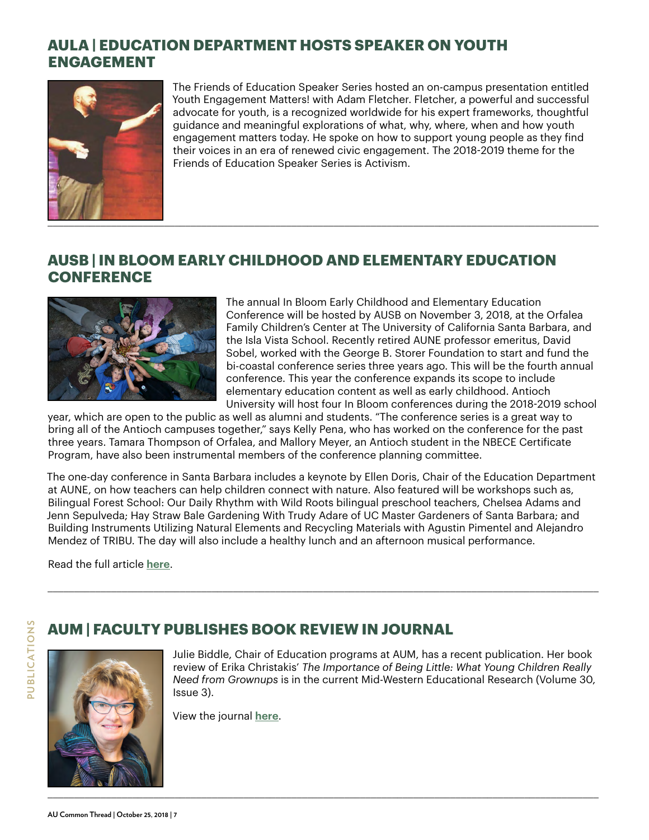## **AULA | EDUCATION DEPARTMENT HOSTS SPEAKER ON YOUTH ENGAGEMENT**



The Friends of Education Speaker Series hosted an on-campus presentation entitled Youth Engagement Matters! with Adam Fletcher. Fletcher, a powerful and successful advocate for youth, is a recognized worldwide for his expert frameworks, thoughtful guidance and meaningful explorations of what, why, where, when and how youth engagement matters today. He spoke on how to support young people as they find their voices in an era of renewed civic engagement. The 2018-2019 theme for the Friends of Education Speaker Series is Activism.

#### **AUSB | IN BLOOM EARLY CHILDHOOD AND ELEMENTARY EDUCATION CONFERENCE**



The annual In Bloom Early Childhood and Elementary Education Conference will be hosted by AUSB on November 3, 2018, at the Orfalea Family Children's Center at The University of California Santa Barbara, and the Isla Vista School. Recently retired AUNE professor emeritus, David Sobel, worked with the George B. Storer Foundation to start and fund the bi-coastal conference series three years ago. This will be the fourth annual conference. This year the conference expands its scope to include elementary education content as well as early childhood. Antioch University will host four In Bloom conferences during the 2018-2019 school

year, which are open to the public as well as alumni and students. "The conference series is a great way to bring all of the Antioch campuses together," says Kelly Pena, who has worked on the conference for the past three years. Tamara Thompson of Orfalea, and Mallory Meyer, an Antioch student in the NBECE Certificate Program, have also been instrumental members of the conference planning committee.

The one-day conference in Santa Barbara includes a keynote by Ellen Doris, Chair of the Education Department at AUNE, on how teachers can help children connect with nature. Also featured will be workshops such as, Bilingual Forest School: Our Daily Rhythm with Wild Roots bilingual preschool teachers, Chelsea Adams and Jenn Sepulveda; Hay Straw Bale Gardening With Trudy Adare of UC Master Gardeners of Santa Barbara; and Building Instruments Utilizing Natural Elements and Recycling Materials with Agustin Pimentel and Alejandro Mendez of TRIBU. The day will also include a healthy lunch and an afternoon musical performance.

\_\_\_\_\_\_\_\_\_\_\_\_\_\_\_\_\_\_\_\_\_\_\_\_\_\_\_\_\_\_\_\_\_\_\_\_\_\_\_\_\_\_\_\_\_\_\_\_\_\_\_\_\_\_\_\_\_\_\_\_\_\_\_\_\_\_\_\_\_\_\_\_\_\_\_\_\_\_\_\_\_\_\_\_\_\_\_\_\_\_\_\_\_\_\_\_\_\_\_\_\_\_\_\_

\_\_\_\_\_\_\_\_\_\_\_\_\_\_\_\_\_\_\_\_\_\_\_\_\_\_\_\_\_\_\_\_\_\_\_\_\_\_\_\_\_\_\_\_\_\_\_\_\_\_\_\_\_\_\_\_\_\_\_\_\_\_\_\_\_\_\_\_\_\_\_\_\_\_\_\_\_\_\_\_\_\_\_\_\_\_\_\_\_\_\_\_\_\_\_\_\_\_\_\_\_\_\_\_

Read the full article **[here](https://www.antioch.edu/santa-barbara/2018/09/26/in-bloom-early-childhood-and-elementary-education-conference/)**.





Julie Biddle, Chair of Education programs at AUM, has a recent publication. Her book review of Erika Christakis' *The Importance of Being Little: What Young Children Really Need from Grownups* is in the current Mid-Western Educational Research (Volume 30, Issue 3).

View the journal **[here](https://www.mwera.org/MWER/)**.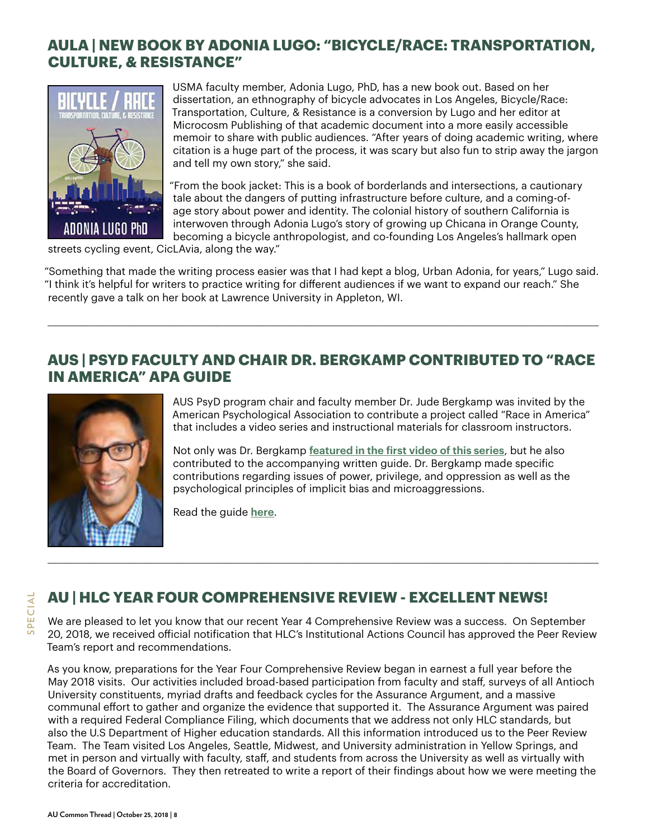### **AULA | NEW BOOK BY ADONIA LUGO: "BICYCLE/RACE: TRANSPORTATION, CULTURE, & RESISTANCE"**



USMA faculty member, Adonia Lugo, PhD, has a new book out. Based on her dissertation, an ethnography of bicycle advocates in Los Angeles, Bicycle/Race: Transportation, Culture, & Resistance is a conversion by Lugo and her editor at Microcosm Publishing of that academic document into a more easily accessible memoir to share with public audiences. "After years of doing academic writing, where citation is a huge part of the process, it was scary but also fun to strip away the jargon and tell my own story," she said.

"From the book jacket: This is a book of borderlands and intersections, a cautionary tale about the dangers of putting infrastructure before culture, and a coming-ofage story about power and identity. The colonial history of southern California is interwoven through Adonia Lugo's story of growing up Chicana in Orange County, becoming a bicycle anthropologist, and co-founding Los Angeles's hallmark open

streets cycling event, CicLAvia, along the way."

"Something that made the writing process easier was that I had kept a blog, Urban Adonia, for years," Lugo said. "I think it's helpful for writers to practice writing for different audiences if we want to expand our reach." She recently gave a talk on her book at Lawrence University in Appleton, WI.

\_\_\_\_\_\_\_\_\_\_\_\_\_\_\_\_\_\_\_\_\_\_\_\_\_\_\_\_\_\_\_\_\_\_\_\_\_\_\_\_\_\_\_\_\_\_\_\_\_\_\_\_\_\_\_\_\_\_\_\_\_\_\_\_\_\_\_\_\_\_\_\_\_\_\_\_\_\_\_\_\_\_\_\_\_\_\_\_\_\_\_\_\_\_\_\_\_\_\_\_\_\_\_\_

#### **AUS | PSYD FACULTY AND CHAIR DR. BERGKAMP CONTRIBUTED TO "RACE IN AMERICA" APA GUIDE**



AUS PsyD program chair and faculty member Dr. Jude Bergkamp was invited by the American Psychological Association to contribute a project called "Race in America" that includes a video series and instructional materials for classroom instructors.

Not only was Dr. Bergkamp **[featured in the first video of this series](https://www.antioch.edu/seattle/2018/08/30/psyd-faculty-chair-dr-bergkamp-in-race-and-health-apa-video/)**, but he also contributed to the accompanying written guide. Dr. Bergkamp made specific contributions regarding issues of power, privilege, and oppression as well as the psychological principles of implicit bias and microaggressions.

Read the guide **[here](https://www.apa.org/education/undergrad/diversity/facing-divide-instructor-guide.pdf)**.

# **AU | HLC YEAR FOUR COMPREHENSIVE REVIEW - EXCELLENT NEWS!**

We are pleased to let you know that our recent Year 4 Comprehensive Review was a success. On September 20, 2018, we received official notification that HLC's Institutional Actions Council has approved the Peer Review Team's report and recommendations.

\_\_\_\_\_\_\_\_\_\_\_\_\_\_\_\_\_\_\_\_\_\_\_\_\_\_\_\_\_\_\_\_\_\_\_\_\_\_\_\_\_\_\_\_\_\_\_\_\_\_\_\_\_\_\_\_\_\_\_\_\_\_\_\_\_\_\_\_\_\_\_\_\_\_\_\_\_\_\_\_\_\_\_\_\_\_\_\_\_\_\_\_\_\_\_\_\_\_\_\_\_\_\_\_

As you know, preparations for the Year Four Comprehensive Review began in earnest a full year before the May 2018 visits. Our activities included broad-based participation from faculty and staff, surveys of all Antioch University constituents, myriad drafts and feedback cycles for the Assurance Argument, and a massive communal effort to gather and organize the evidence that supported it. The Assurance Argument was paired with a required Federal Compliance Filing, which documents that we address not only HLC standards, but also the U.S Department of Higher education standards. All this information introduced us to the Peer Review Team. The Team visited Los Angeles, Seattle, Midwest, and University administration in Yellow Springs, and met in person and virtually with faculty, staff, and students from across the University as well as virtually with the Board of Governors. They then retreated to write a report of their findings about how we were meeting the criteria for accreditation.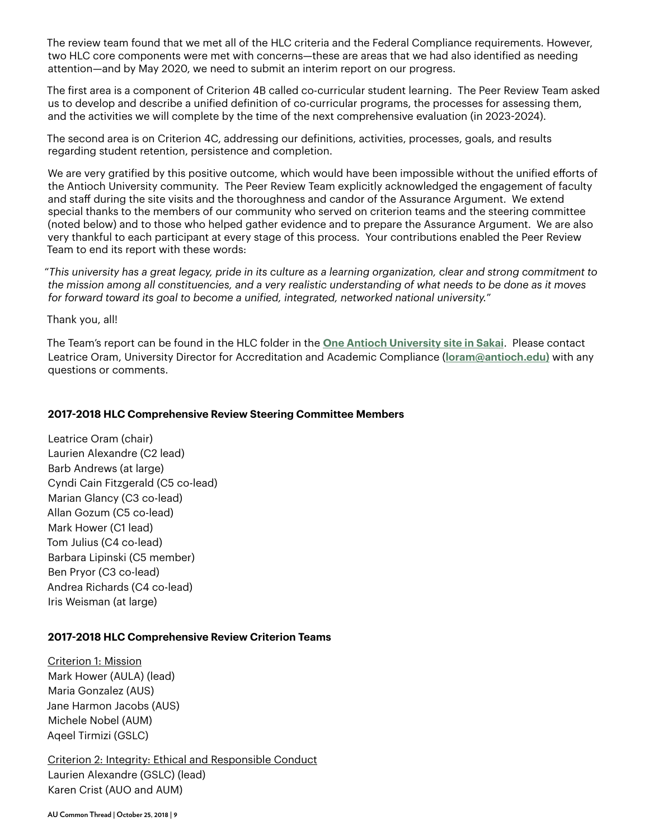The review team found that we met all of the HLC criteria and the Federal Compliance requirements. However, two HLC core components were met with concerns—these are areas that we had also identified as needing attention—and by May 2020, we need to submit an interim report on our progress.

The first area is a component of Criterion 4B called co-curricular student learning. The Peer Review Team asked us to develop and describe a unified definition of co-curricular programs, the processes for assessing them, and the activities we will complete by the time of the next comprehensive evaluation (in 2023-2024).

The second area is on Criterion 4C, addressing our definitions, activities, processes, goals, and results regarding student retention, persistence and completion.

We are very gratified by this positive outcome, which would have been impossible without the unified efforts of the Antioch University community. The Peer Review Team explicitly acknowledged the engagement of faculty and staff during the site visits and the thoroughness and candor of the Assurance Argument. We extend special thanks to the members of our community who served on criterion teams and the steering committee (noted below) and to those who helped gather evidence and to prepare the Assurance Argument. We are also very thankful to each participant at every stage of this process. Your contributions enabled the Peer Review Team to end its report with these words:

"*This university has a great legacy, pride in its culture as a learning organization, clear and strong commitment to the mission among all constituencies, and a very realistic understanding of what needs to be done as it moves for forward toward its goal to become a unified, integrated, networked national university.*"

Thank you, all!

The Team's report can be found in the HLC folder in the **[One Antioch University site in Sakai](https://sakai.antioch.edu/portal/site/3d475c7f-e0b0-4aa1-8d39-699d254612a4/tool/aba04176-e4de-43f7-b8dc-f37f54443c37?panel=Main#/group/3d475c7f-e0b0-4aa1-8d39-699d254612a4/Higher%20Learning%20Commission%20Documents/2018%20HLC%20Comprehensive%20Review/HLC%20Final%20Documents/)**. Please contact Leatrice Oram, University Director for Accreditation and Academic Compliance (**[loram@antioch.edu](mailto: loram@antioch.edu)))** with any questions or comments.

#### **2017-2018 HLC Comprehensive Review Steering Committee Members**

Leatrice Oram (chair) Laurien Alexandre (C2 lead) Barb Andrews (at large) Cyndi Cain Fitzgerald (C5 co-lead) Marian Glancy (C3 co-lead) Allan Gozum (C5 co-lead) Mark Hower (C1 lead) Tom Julius (C4 co-lead) Barbara Lipinski (C5 member) Ben Pryor (C3 co-lead) Andrea Richards (C4 co-lead) Iris Weisman (at large)

#### **2017-2018 HLC Comprehensive Review Criterion Teams**

Criterion 1: Mission Mark Hower (AULA) (lead) Maria Gonzalez (AUS) Jane Harmon Jacobs (AUS) Michele Nobel (AUM) Aqeel Tirmizi (GSLC)

Criterion 2: Integrity: Ethical and Responsible Conduct Laurien Alexandre (GSLC) (lead) Karen Crist (AUO and AUM)